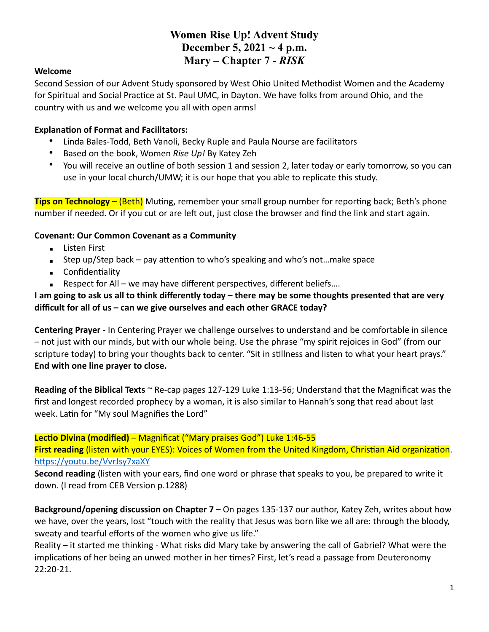# **Women Rise Up! Advent Study December 5, 2021 ~ 4 p.m. Mary – Chapter 7 -** *RISK*

#### **Welcome**

Second Session of our Advent Study sponsored by West Ohio United Methodist Women and the Academy for Spiritual and Social Practice at St. Paul UMC, in Dayton. We have folks from around Ohio, and the country with us and we welcome you all with open arms!

#### **Explanation of Format and Facilitators:**

- Linda Bales-Todd, Beth Vanoli, Becky Ruple and Paula Nourse are facilitators
- Based on the book, Women *Rise Up!* By Katey Zeh
- You will receive an outline of both session 1 and session 2, later today or early tomorrow, so you can use in your local church/UMW; it is our hope that you able to replicate this study.

**Tips on Technology** – (Beth) Muting, remember your small group number for reporting back; Beth's phone number if needed. Or if you cut or are left out, just close the browser and find the link and start again.

### **Covenant: Our Common Covenant as a Community**

- **Exercise** Listen First
- **EXECT** Step up/Step back pay attention to who's speaking and who's not...make space
- Confidentiality
- **EXECT** Respect for All we may have different perspectives, different beliefs....

### **I am going to ask us all to think differently today – there may be some thoughts presented that are very difficult for all of us – can we give ourselves and each other GRACE today?**

**Centering Prayer -** In Centering Prayer we challenge ourselves to understand and be comfortable in silence – not just with our minds, but with our whole being. Use the phrase "my spirit rejoices in God" (from our scripture today) to bring your thoughts back to center. "Sit in stillness and listen to what your heart prays." **End with one line prayer to close.**

**Reading of the Biblical Texts** ~ Re-cap pages 127-129 Luke 1:13-56; Understand that the Magnificat was the first and longest recorded prophecy by a woman, it is also similar to Hannah's song that read about last week. Latin for "My soul Magnifies the Lord"

**Lectio Divina (modified)** – Magnificat ("Mary praises God") Luke 1:46-55

**First reading** (listen with your EYES): Voices of Women from the United Kingdom, Christian Aid organization. <https://youtu.be/VvrJsy7xaXY>

**Second reading** (listen with your ears, find one word or phrase that speaks to you, be prepared to write it down. (I read from CEB Version p.1288)

**Background/opening discussion on Chapter 7 –** On pages 135-137 our author, Katey Zeh, writes about how we have, over the years, lost "touch with the reality that Jesus was born like we all are: through the bloody, sweaty and tearful efforts of the women who give us life."

Reality – it started me thinking - What risks did Mary take by answering the call of Gabriel? What were the implications of her being an unwed mother in her times? First, let's read a passage from Deuteronomy 22:20-21.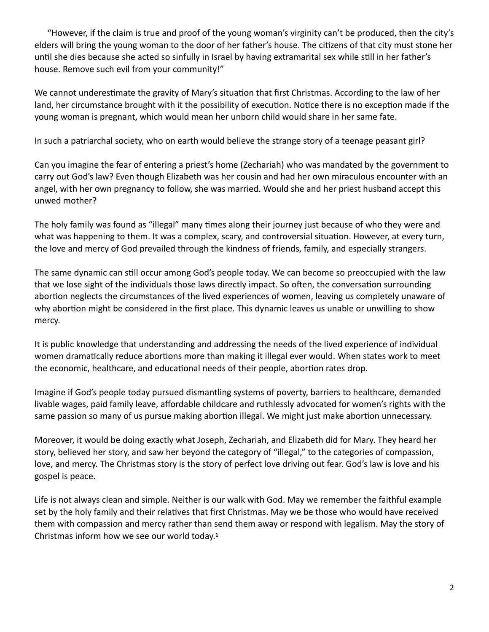"However, if the claim is true and proof of the young woman's virginity can't be produced, then the city's elders will bring the young woman to the door of her father's house. The citizens of that city must stone her until she dies because she acted so sinfully in Israel by having extramarital sex while still in her father's house. Remove such evil from your community!"

We cannot underestimate the gravity of Mary's situation that first Christmas. According to the law of her land, her circumstance brought with it the possibility of execution. Notice there is no exception made if the young woman is pregnant, which would mean her unborn child would share in her same fate.

In such a patriarchal society, who on earth would believe the strange story of a teenage peasant girl?

Can you imagine the fear of entering a priest's home (Zechariah) who was mandated by the government to carry out God's law? Even though Elizabeth was her cousin and had her own miraculous encounter with an angel, with her own pregnancy to follow, she was married. Would she and her priest husband accept this unwed mother?

The holy family was found as "illegal" many times along their journey just because of who they were and what was happening to them. It was a complex, scary, and controversial situation. However, at every turn, the love and mercy of God prevailed through the kindness of friends, family, and especially strangers.

The same dynamic can still occur among God's people today. We can become so preoccupied with the law that we lose sight of the individuals those laws directly impact. So often, the conversation surrounding abortion neglects the circumstances of the lived experiences of women, leaving us completely unaware of why abortion might be considered in the first place. This dynamic leaves us unable or unwilling to show mercy.

It is public knowledge that understanding and addressing the needs of the lived experience of individual women dramatically reduce abortions more than making it illegal ever would. When states work to meet the economic, healthcare, and educational needs of their people, abortion rates drop.

Imagine if God's people today pursued dismantling systems of poverty, barriers to healthcare, demanded livable wages, paid family leave, affordable childcare and ruthlessly advocated for women's rights with the same passion so many of us pursue making abortion illegal. We might just make abortion unnecessary.

Moreover, it would be doing exactly what Joseph, Zechariah, and Elizabeth did for Mary. They heard her story, believed her story, and saw her beyond the category of "illegal," to the categories of compassion, love, and mercy. The Christmas story is the story of perfect love driving out fear. God's law is love and his gospel is peace.

Life is not always clean and simple. Neither is our walk with God. May we remember the faithful example set by the holy family and their relatives that first Christmas. May we be those who would have received them with compassion and mercy rather than send them away or respond with legalism. May the story of Christmas inform how we see our world today.**<sup>1</sup>**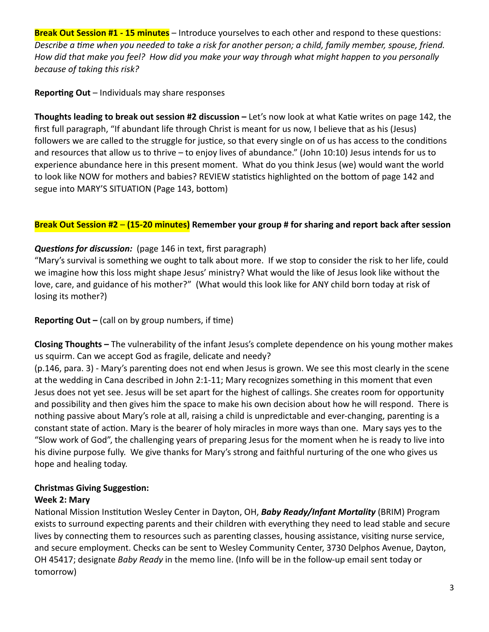**Break Out Session #1 - 15 minutes** – Introduce yourselves to each other and respond to these questions: *Describe a time when you needed to take a risk for another person; a child, family member, spouse, friend. How did that make you feel? How did you make your way through what might happen to you personally because of taking this risk?*

### **Reporting Out** – Individuals may share responses

**Thoughts leading to break out session #2 discussion –** Let's now look at what Katie writes on page 142, the first full paragraph, "If abundant life through Christ is meant for us now, I believe that as his (Jesus) followers we are called to the struggle for justice, so that every single on of us has access to the conditions and resources that allow us to thrive – to enjoy lives of abundance." (John 10:10) Jesus intends for us to experience abundance here in this present moment. What do you think Jesus (we) would want the world to look like NOW for mothers and babies? REVIEW statistics highlighted on the bottom of page 142 and segue into MARY'S SITUATION (Page 143, bottom)

## **Break Out Session #2** – **(15-20 minutes) Remember your group # for sharing and report back after session**

# *Questions for discussion:* (page 146 in text, first paragraph)

"Mary's survival is something we ought to talk about more. If we stop to consider the risk to her life, could we imagine how this loss might shape Jesus' ministry? What would the like of Jesus look like without the love, care, and guidance of his mother?" (What would this look like for ANY child born today at risk of losing its mother?)

## **Reporting Out –** (call on by group numbers, if time)

**Closing Thoughts –** The vulnerability of the infant Jesus's complete dependence on his young mother makes us squirm. Can we accept God as fragile, delicate and needy?

(p.146, para. 3) - Mary's parenting does not end when Jesus is grown. We see this most clearly in the scene at the wedding in Cana described in John 2:1-11; Mary recognizes something in this moment that even Jesus does not yet see. Jesus will be set apart for the highest of callings. She creates room for opportunity and possibility and then gives him the space to make his own decision about how he will respond. There is nothing passive about Mary's role at all, raising a child is unpredictable and ever-changing, parenting is a constant state of action. Mary is the bearer of holy miracles in more ways than one. Mary says yes to the "Slow work of God", the challenging years of preparing Jesus for the moment when he is ready to live into his divine purpose fully. We give thanks for Mary's strong and faithful nurturing of the one who gives us hope and healing today.

# **Christmas Giving Suggestion:**

### **Week 2: Mary**

National Mission Institution Wesley Center in Dayton, OH, *Baby Ready/Infant Mortality* (BRIM) Program exists to surround expecting parents and their children with everything they need to lead stable and secure lives by connecting them to resources such as parenting classes, housing assistance, visiting nurse service, and secure employment. Checks can be sent to Wesley Community Center, 3730 Delphos Avenue, Dayton, OH 45417; designate *Baby Ready* in the memo line. (Info will be in the follow-up email sent today or tomorrow)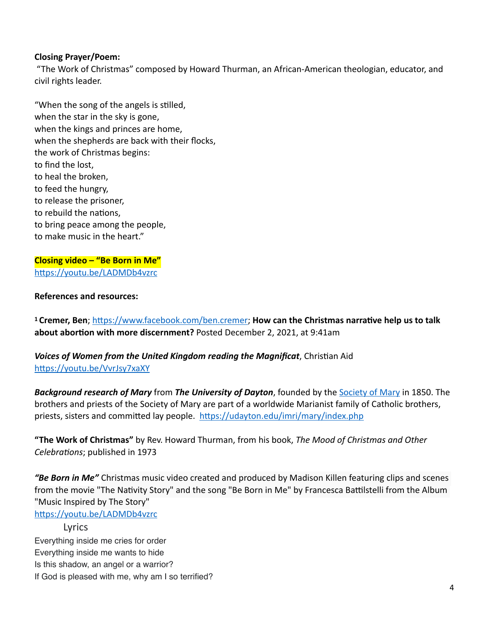#### **Closing Prayer/Poem:**

 "The Work of Christmas" composed by Howard Thurman, an African-American theologian, educator, and civil rights leader.

"When the song of the angels is stilled, when the star in the sky is gone, when the kings and princes are home, when the shepherds are back with their flocks, the work of Christmas begins: to find the lost, to heal the broken, to feed the hungry, to release the prisoner, to rebuild the nations, to bring peace among the people, to make music in the heart."

#### **Closing video – "Be Born in Me"** <https://youtu.be/LADMDb4vzrc>

#### **References and resources:**

**1 Cremer, Ben**; <https://www.facebook.com/ben.cremer>; **How can the Christmas narrative help us to talk about abortion with more discernment?** Posted December 2, 2021, at 9:41am

*Voices of Women from the United Kingdom reading the Magnificat*, Christian Aid <https://youtu.be/VvrJsy7xaXY>

*Background research of Mary* from *The University of Dayton*, founded by the [Society of Mary](https://udayton.edu/rector/mission_identity_roots/index.php) in 1850. The brothers and priests of the Society of Mary are part of a worldwide Marianist family of Catholic brothers, priests, sisters and committed lay people. <https://udayton.edu/imri/mary/index.php>

**"The Work of Christmas"** by Rev. Howard Thurman, from his book, *The Mood of Christmas and Other Celebrations*; published in 1973

*"Be Born in Me"* Christmas music video created and produced by Madison Killen featuring clips and scenes from the movie "The Nativity Story" and the song "Be Born in Me" by Francesca Battilstelli from the Album "Music Inspired by The Story"

<https://youtu.be/LADMDb4vzrc>

Lyrics Everything inside me cries for order Everything inside me wants to hide Is this shadow, an angel or a warrior? If God is pleased with me, why am I so terrified?